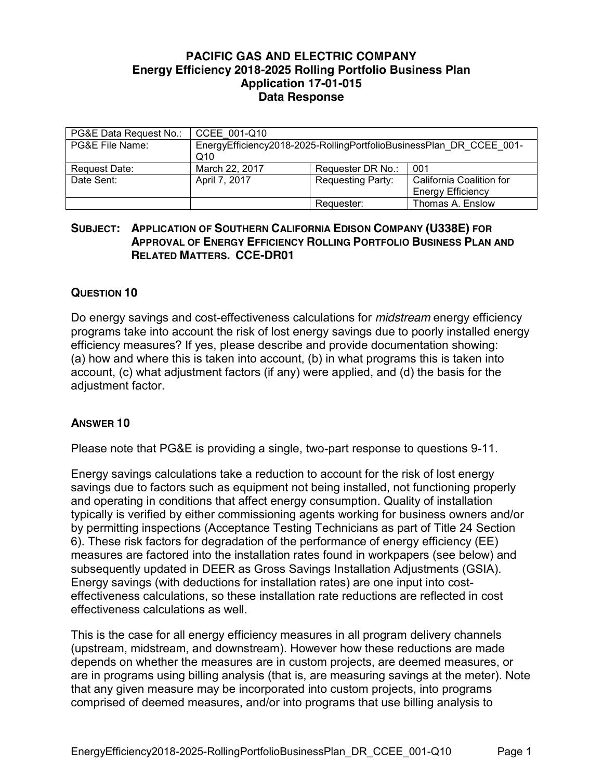## **PACIFIC GAS AND ELECTRIC COMPANY Energy Efficiency 2018-2025 Rolling Portfolio Business Plan Application 17-01-015 Data Response**

| PG&E Data Request No.: | CCEE 001-Q10                                                               |                          |                          |
|------------------------|----------------------------------------------------------------------------|--------------------------|--------------------------|
| PG&E File Name:        | EnergyEfficiency2018-2025-RollingPortfolioBusinessPlan DR CCEE 001-<br>Q10 |                          |                          |
| Request Date:          | March 22, 2017                                                             | Requester DR No.:        | 001                      |
| Date Sent:             | April 7, 2017                                                              | <b>Requesting Party:</b> | California Coalition for |
|                        |                                                                            |                          | <b>Energy Efficiency</b> |
|                        |                                                                            | Requester:               | Thomas A. Enslow         |

## **SUBJECT: APPLICATION OF SOUTHERN CALIFORNIA EDISON COMPANY (U338E) FOR APPROVAL OF ENERGY EFFICIENCY ROLLING PORTFOLIO BUSINESS PLAN AND RELATED MATTERS. CCE-DR01**

## **QUESTION 10**

Do energy savings and cost-effectiveness calculations for *midstream* energy efficiency programs take into account the risk of lost energy savings due to poorly installed energy efficiency measures? If yes, please describe and provide documentation showing: (a) how and where this is taken into account, (b) in what programs this is taken into account, (c) what adjustment factors (if any) were applied, and (d) the basis for the adjustment factor.

## **ANSWER 10**

Please note that PG&E is providing a single, two-part response to questions 9-11.

Energy savings calculations take a reduction to account for the risk of lost energy savings due to factors such as equipment not being installed, not functioning properly and operating in conditions that affect energy consumption. Quality of installation typically is verified by either commissioning agents working for business owners and/or by permitting inspections (Acceptance Testing Technicians as part of Title 24 Section 6). These risk factors for degradation of the performance of energy efficiency (EE) measures are factored into the installation rates found in workpapers (see below) and subsequently updated in DEER as Gross Savings Installation Adjustments (GSIA). Energy savings (with deductions for installation rates) are one input into costeffectiveness calculations, so these installation rate reductions are reflected in cost effectiveness calculations as well.

This is the case for all energy efficiency measures in all program delivery channels (upstream, midstream, and downstream). However how these reductions are made depends on whether the measures are in custom projects, are deemed measures, or are in programs using billing analysis (that is, are measuring savings at the meter). Note that any given measure may be incorporated into custom projects, into programs comprised of deemed measures, and/or into programs that use billing analysis to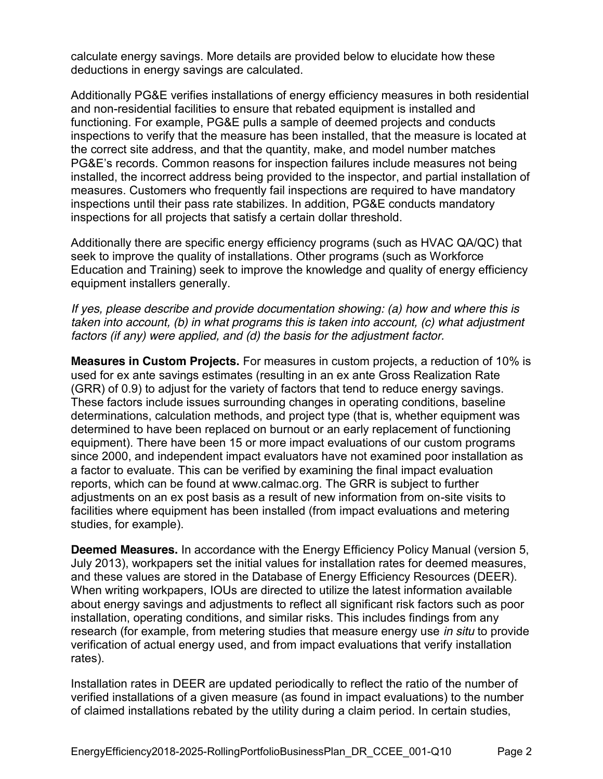calculate energy savings. More details are provided below to elucidate how these deductions in energy savings are calculated.

Additionally PG&E verifies installations of energy efficiency measures in both residential and non-residential facilities to ensure that rebated equipment is installed and functioning. For example, PG&E pulls a sample of deemed projects and conducts inspections to verify that the measure has been installed, that the measure is located at the correct site address, and that the quantity, make, and model number matches PG&E's records. Common reasons for inspection failures include measures not being installed, the incorrect address being provided to the inspector, and partial installation of measures. Customers who frequently fail inspections are required to have mandatory inspections until their pass rate stabilizes. In addition, PG&E conducts mandatory inspections for all projects that satisfy a certain dollar threshold.

Additionally there are specific energy efficiency programs (such as HVAC QA/QC) that seek to improve the quality of installations. Other programs (such as Workforce Education and Training) seek to improve the knowledge and quality of energy efficiency equipment installers generally.

*If yes, please describe and provide documentation showing: (a) how and where this is taken into account, (b) in what programs this is taken into account, (c) what adjustment factors (if any) were applied, and (d) the basis for the adjustment factor.*

**Measures in Custom Projects.** For measures in custom projects, a reduction of 10% is used for ex ante savings estimates (resulting in an ex ante Gross Realization Rate (GRR) of 0.9) to adjust for the variety of factors that tend to reduce energy savings. These factors include issues surrounding changes in operating conditions, baseline determinations, calculation methods, and project type (that is, whether equipment was determined to have been replaced on burnout or an early replacement of functioning equipment). There have been 15 or more impact evaluations of our custom programs since 2000, and independent impact evaluators have not examined poor installation as a factor to evaluate. This can be verified by examining the final impact evaluation reports, which can be found at www.calmac.org. The GRR is subject to further adjustments on an ex post basis as a result of new information from on-site visits to facilities where equipment has been installed (from impact evaluations and metering studies, for example).

**Deemed Measures.** In accordance with the Energy Efficiency Policy Manual (version 5, July 2013), workpapers set the initial values for installation rates for deemed measures, and these values are stored in the Database of Energy Efficiency Resources (DEER). When writing workpapers, IOUs are directed to utilize the latest information available about energy savings and adjustments to reflect all significant risk factors such as poor installation, operating conditions, and similar risks. This includes findings from any research (for example, from metering studies that measure energy use *in situ* to provide verification of actual energy used, and from impact evaluations that verify installation rates).

Installation rates in DEER are updated periodically to reflect the ratio of the number of verified installations of a given measure (as found in impact evaluations) to the number of claimed installations rebated by the utility during a claim period. In certain studies,